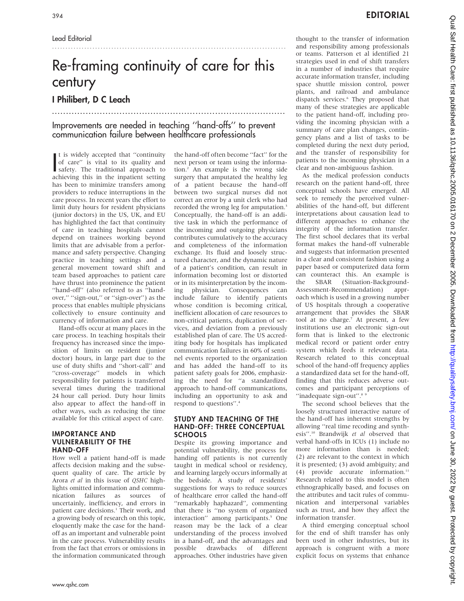## Lead Editorial

# Re-framing continuity of care for this century

.......................................................................................

I Philibert, D C Leach

# Improvements are needed in teaching ''hand-offs'' to prevent communication failure between healthcare professionals

...................................................................................

It is widely accepted that "continuity"<br>
of care" is vital to its quality and<br>
safety. The traditional approach to<br>
achievine this in the investor t is widely accepted that ''continuity of care'' is vital to its quality and achieving this in the inpatient setting has been to minimize transfers among providers to reduce interruptions in the care process. In recent years the effort to limit duty hours for resident physicians (junior doctors) in the US, UK, and EU has highlighted the fact that continuity of care in teaching hospitals cannot depend on trainees working beyond limits that are advisable from a performance and safety perspective. Changing practice in teaching settings and a general movement toward shift and team based approaches to patient care have thrust into prominence the patient ''hand-off'' (also referred to as ''handover,'' ''sign-out,'' or ''sign-over'') as the process that enables multiple physicians collectively to ensure continuity and currency of information and care.

Hand-offs occur at many places in the care process. In teaching hospitals their frequency has increased since the imposition of limits on resident (junior doctor) hours, in large part due to the use of duty shifts and ''short-call'' and ''cross-coverage'' models in which responsibility for patients is transferred several times during the traditional 24 hour call period. Duty hour limits also appear to affect the hand-off in other ways, such as reducing the time available for this critical aspect of care.

### IMPORTANCE AND VULNERABILITY OF THE HAND-OFF

How well a patient hand-off is made affects decision making and the subsequent quality of care. The article by Arora et al in this issue of QSHC highlights omitted information and communication failures as sources of uncertainly, inefficiency, and errors in patient care decisions.<sup>1</sup> Their work, and a growing body of research on this topic, eloquently make the case for the handoff as an important and vulnerable point in the care process. Vulnerability results from the fact that errors or omissions in the information communicated through

the hand-off often become ''fact'' for the next person or team using the information.2 An example is the wrong side surgery that amputated the healthy leg of a patient because the hand-off between two surgical nurses did not correct an error by a unit clerk who had recorded the wrong leg for amputation.<sup>3</sup> Conceptually, the hand-off is an additive task in which the performance of the incoming and outgoing physicians contributes cumulatively to the accuracy and completeness of the information exchange. Its fluid and loosely structured character, and the dynamic nature of a patient's condition, can result in information becoming lost or distorted or in its misinterpretation by the incoming physician. Consequences can include failure to identify patients whose condition is becoming critical, inefficient allocation of care resources to non-critical patients, duplication of services, and deviation from a previously established plan of care. The US accrediting body for hospitals has implicated communication failures in 60% of sentinel events reported to the organization and has added the hand-off to its patient safety goals for 2006, emphasizing the need for ''a standardized approach to hand-off communications, including an opportunity to ask and respond to questions''.4

#### STUDY AND TEACHING OF THE HAND-OFF: THREE CONCEPTUAL **SCHOOLS**

Despite its growing importance and potential vulnerability, the process for handing off patients is not currently taught in medical school or residency, and learning largely occurs informally at the bedside. A study of residents' suggestions for ways to reduce sources of healthcare error called the hand-off ''remarkably haphazard'', commenting that there is ''no system of organized interaction" among participants.<sup>5</sup> One reason may be the lack of a clear understanding of the process involved in a hand-off, and the advantages and possible drawbacks of different approaches. Other industries have given

thought to the transfer of information and responsibility among professionals or teams. Patterson et al identified 21 strategies used in end of shift transfers in a number of industries that require accurate information transfer, including space shuttle mission control, power plants, and railroad and ambulance dispatch services.<sup>6</sup> They proposed that many of these strategies are applicable to the patient hand-off, including providing the incoming physician with a summary of care plan changes, contingency plans and a list of tasks to be completed during the next duty period, and the transfer of responsibility for patients to the incoming physician in a clear and non-ambiguous fashion.

As the medical profession conducts research on the patient hand-off, three conceptual schools have emerged. All seek to remedy the perceived vulnerabilities of the hand-off, but different interpretations about causation lead to different approaches to enhance the integrity of the information transfer. The first school declares that its verbal format makes the hand-off vulnerable and suggests that information presented in a clear and consistent fashion using a paper based or computerized data form can counteract this. An example is the SBAR (Situation-Background-Assessment-Recommendation) approach which is used in a growing number of US hospitals through a cooperative arrangement that provides the SBAR tool at no charge.7 At present, a few institutions use an electronic sign-out form that is linked to the electronic medical record or patient order entry system which feeds it relevant data. Research related to this conceptual school of the hand-off frequency applies a standardized data set for the hand-off, finding that this reduces adverse outcomes and participant perceptions of "inadequate sign-out".<sup>8</sup>

The second school believes that the loosely structured interactive nature of the hand-off has inherent strengths by allowing ''real time recoding and synthesis''.10 Brandwijk et al observed that verbal hand-offs in ICUs (1) include no more information than is needed; (2) are relevant to the context in which it is presented; (3) avoid ambiguity; and  $(4)$  provide accurate information.<sup>11</sup> Research related to this model is often ethnographically based, and focuses on the attributes and tacit rules of communication and interpersonal variables such as trust, and how they affect the information transfer.

A third emerging conceptual school for the end of shift transfer has only been used in other industries, but its approach is congruent with a more explicit focus on systems that enhance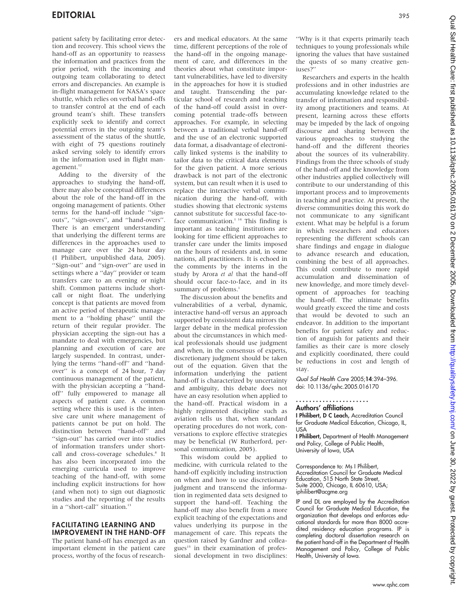patient safety by facilitating error detection and recovery. This school views the hand-off as an opportunity to reassess the information and practices from the prior period, with the incoming and outgoing team collaborating to detect errors and discrepancies. An example is in-flight management for NASA's space shuttle, which relies on verbal hand-offs to transfer control at the end of each ground team's shift. These transfers explicitly seek to identify and correct potential errors in the outgoing team's assessment of the status of the shuttle, with eight of 75 questions routinely asked serving solely to identify errors in the information used in flight management.<sup>12</sup>

Adding to the diversity of the approaches to studying the hand-off, there may also be conceptual differences about the role of the hand-off in the ongoing management of patients. Other terms for the hand-off include ''signouts'', ''sign-overs'', and ''hand-overs''. There is an emergent understanding that underlying the different terms are differences in the approaches used to manage care over the 24 hour day (I Philibert, unpublished data, 2005). "Sign-out" and "sign-over" are used in settings where a "day" provider or team transfers care to an evening or night shift. Common patterns include shortcall or night float. The underlying concept is that patients are moved from an active period of therapeutic management to a ''holding phase'' until the return of their regular provider. The physician accepting the sign-out has a mandate to deal with emergencies, but planning and execution of care are largely suspended. In contrast, underlying the terms ''hand-off'' and ''handover'' is a concept of 24 hour, 7 day continuous management of the patient, with the physician accepting a ''handoff'' fully empowered to manage all aspects of patient care. A common setting where this is used is the intensive care unit where management of patients cannot be put on hold. The distinction between ''hand-off'' and "sign-out" has carried over into studies of information transfers under shortcall and cross-coverage schedules.<sup>8</sup> It has also been incorporated into the emerging curricula used to improve teaching of the hand-off, with some including explicit instructions for how (and when not) to sign out diagnostic studies and the reporting of the results in a "short-call" situation.<sup>13</sup>

### FACILITATING LEARNING AND IMPROVEMENT IN THE HAND-OFF

The patient hand-off has emerged as an important element in the patient care process, worthy of the focus of research-

ers and medical educators. At the same time, different perceptions of the role of the hand-off in the ongoing management of care, and differences in the theories about what constitute important vulnerabilities, have led to diversity in the approaches for how it is studied and taught. Transcending the particular school of research and teaching of the hand-off could assist in overcoming potential trade-offs between approaches. For example, in selecting between a traditional verbal hand-off and the use of an electronic supported data format, a disadvantage of electronically linked systems is the inability to tailor data to the critical data elements for the given patient. A more serious drawback is not part of the electronic system, but can result when it is used to replace the interactive verbal communication during the hand-off, with studies showing that electronic systems cannot substitute for successful face-toface communication.<sup>1 14</sup> This finding is important as teaching institutions are looking for time efficient approaches to transfer care under the limits imposed on the hours of residents and, in some nations, all practitioners. It is echoed in the comments by the interns in the study by Arora et al that the hand-off should occur face-to-face, and in its summary of problems.<sup>1</sup>

The discussion about the benefits and vulnerabilities of a verbal, dynamic, interactive hand-off versus an approach supported by consistent data mirrors the larger debate in the medical profession about the circumstances in which medical professionals should use judgment and when, in the consensus of experts, discretionary judgment should be taken out of the equation. Given that the information underlying the patient hand-off is characterized by uncertainty and ambiguity, this debate does not have an easy resolution when applied to the hand-off. Practical wisdom in a highly regimented discipline such as aviation tells us that, when standard operating procedures do not work, conversations to explore effective strategies may be beneficial (W Rutherford, personal communication, 2005).

This wisdom could be applied to medicine, with curricula related to the hand-off explicitly including instruction on when and how to use discretionary judgment and transcend the information in regimented data sets designed to support the hand-off. Teaching the hand-off may also benefit from a more explicit teaching of the expectations and values underlying its purpose in the management of care. This repeats the question raised by Gardner and colleagues<sup>15</sup> in their examination of professional development in two disciplines:

''Why is it that experts primarily teach techniques to young professionals while ignoring the values that have sustained the quests of so many creative geniuses?''

Researchers and experts in the health professions and in other industries are accumulating knowledge related to the transfer of information and responsibility among practitioners and teams. At present, learning across these efforts may be impeded by the lack of ongoing discourse and sharing between the various approaches to studying the hand-off and the different theories about the sources of its vulnerability. Findings from the three schools of study of the hand-off and the knowledge from other industries applied collectively will contribute to our understanding of this important process and to improvements in teaching and practice. At present, the diverse communities doing this work do not communicate to any significant extent. What may be helpful is a forum in which researchers and educators representing the different schools can share findings and engage in dialogue to advance research and education, combining the best of all approaches. This could contribute to more rapid accumulation and dissemination of new knowledge, and more timely development of approaches for teaching the hand-off. The ultimate benefits would greatly exceed the time and costs that would be devoted to such an endeavor. In addition to the important benefits for patient safety and reduction of anguish for patients and their families as their care is more closely and explicitly coordinated, there could be reductions in cost and length of stay.

Qual Saf Health Care 2005;14:394–396. doi: 10.1136/qshc.2005.016170

Authors' affiliations ...................... I Philibert, D C Leach, Accreditation Council

for Graduate Medical Education, Chicago, IL, USA

I Philibert, Department of Health Management and Policy, College of Public Health, University of Iowa, USA

Correspondence to: Ms I Philibert, Accreditation Council for Graduate Medical Education, 515 North State Street, Suite 2000, Chicago, IL 60610, USA; iphilibert@acgme.org

IP and DL are employed by the Accreditation Council for Graduate Medical Education, the organization that develops and enforces educational standards for more than 8000 accredited residency education programs. IP is completing doctoral dissertation research on the patient hand-off in the Department of Health Management and Policy, College of Public Health, University of Iowa.